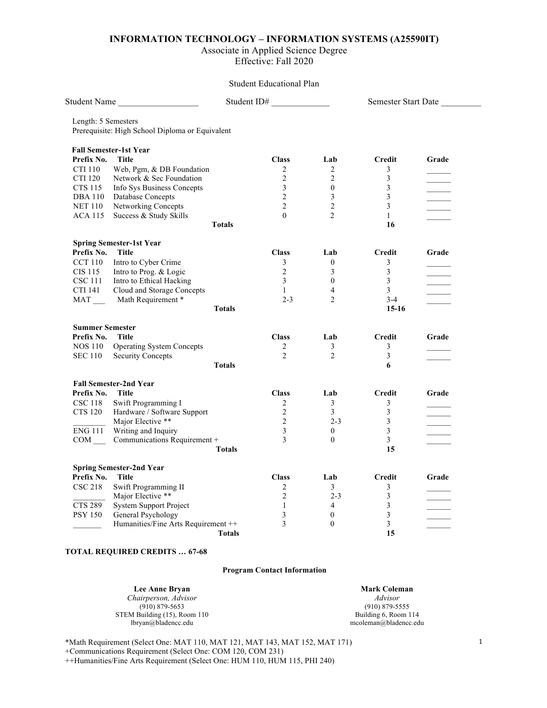## **INFORMATION TECHNOLOGY – INFORMATION SYSTEMS (A25590IT)**

# Associate in Applied Science Degree

Effective: Fall 2020

## Student Educational Plan

| Prerequisite: High School Diploma or Equivalent<br><b>Title</b><br><b>Class</b><br>Lab<br>Credit<br>Grade<br>Web, Pgm, & DB Foundation<br>$\overline{2}$<br>$\overline{2}$<br>3<br>$\overline{\mathbf{3}}$<br>$\overline{2}$<br>$\overline{2}$<br>Network & Sec Foundation<br>$\mathfrak{Z}$<br>3<br>$\mathbf{0}$<br>Info Sys Business Concepts<br>$\overline{2}$<br>3<br>3<br>Database Concepts<br>$\overline{2}$<br>$\overline{2}$<br>3<br>Networking Concepts<br>$\overline{2}$<br>Success & Study Skills<br>$\theta$<br>$\mathbf{1}$<br><b>Totals</b><br>16<br><b>Spring Semester-1st Year</b><br><b>Title</b><br><b>Class</b><br>Lab<br><b>Credit</b><br>Grade<br>Intro to Cyber Crime<br>3<br>$\mathbf{0}$<br>3<br>$\overline{2}$<br>$\overline{3}$<br>Intro to Prog. & Logic<br>3<br>Intro to Ethical Hacking<br>3<br>$\mathbf{0}$<br>3<br>$\overline{3}$<br>$\overline{4}$<br>Cloud and Storage Concepts<br>$\mathbf{1}$<br>MAT _____ Math Requirement *<br>$2 - 3$<br>$\overline{2}$<br>$3 - 4$<br><b>Totals</b><br>$15-16$<br>Title<br><b>Class</b><br><b>Credit</b><br>Lab<br>Grade<br>$\mathfrak{Z}$<br><b>Operating System Concepts</b><br>$\overline{2}$<br>3<br>$\mathfrak{D}$<br>$\overline{2}$<br>3<br><b>Security Concepts</b><br><b>Totals</b><br>6<br><b>Fall Semester-2nd Year</b><br>Title<br><b>Class</b><br>Lab<br><b>Credit</b><br>Grade<br>Swift Programming I<br>$\overline{2}$<br>$\mathfrak{Z}$<br>3<br>Hardware / Software Support<br>$\overline{2}$<br>$\mathfrak{Z}$<br>$\overline{3}$<br>Major Elective **<br>3<br>2<br>$2 - 3$<br>$\mathfrak{Z}$<br>$\mathfrak{Z}$<br>Writing and Inquiry<br>$\Omega$<br>Communications Requirement +<br>3<br>3<br>$\theta$<br><b>Totals</b><br>15<br><b>Title</b><br><b>Class</b><br>Credit<br>Lab<br>Grade<br>Swift Programming II<br>2<br>3<br>3<br>Major Elective **<br>$\overline{2}$<br>$\mathfrak{Z}$<br>$2 - 3$<br><b>System Support Project</b><br>3<br>$\mathbf{1}$<br>$\overline{4}$<br>$\mathfrak{Z}$<br>General Psychology<br>3<br>$\boldsymbol{0}$<br>3<br>Humanities/Fine Arts Requirement ++<br>3<br>$\mathbf{0}$<br>15 | Student Name                    | Student ID# |  | Semester Start Date |  |
|-----------------------------------------------------------------------------------------------------------------------------------------------------------------------------------------------------------------------------------------------------------------------------------------------------------------------------------------------------------------------------------------------------------------------------------------------------------------------------------------------------------------------------------------------------------------------------------------------------------------------------------------------------------------------------------------------------------------------------------------------------------------------------------------------------------------------------------------------------------------------------------------------------------------------------------------------------------------------------------------------------------------------------------------------------------------------------------------------------------------------------------------------------------------------------------------------------------------------------------------------------------------------------------------------------------------------------------------------------------------------------------------------------------------------------------------------------------------------------------------------------------------------------------------------------------------------------------------------------------------------------------------------------------------------------------------------------------------------------------------------------------------------------------------------------------------------------------------------------------------------------------------------------------------------------------------------------------------------------------------------------------------------------------------------------------------------------------------------------------|---------------------------------|-------------|--|---------------------|--|
|                                                                                                                                                                                                                                                                                                                                                                                                                                                                                                                                                                                                                                                                                                                                                                                                                                                                                                                                                                                                                                                                                                                                                                                                                                                                                                                                                                                                                                                                                                                                                                                                                                                                                                                                                                                                                                                                                                                                                                                                                                                                                                           | Length: 5 Semesters             |             |  |                     |  |
|                                                                                                                                                                                                                                                                                                                                                                                                                                                                                                                                                                                                                                                                                                                                                                                                                                                                                                                                                                                                                                                                                                                                                                                                                                                                                                                                                                                                                                                                                                                                                                                                                                                                                                                                                                                                                                                                                                                                                                                                                                                                                                           |                                 |             |  |                     |  |
|                                                                                                                                                                                                                                                                                                                                                                                                                                                                                                                                                                                                                                                                                                                                                                                                                                                                                                                                                                                                                                                                                                                                                                                                                                                                                                                                                                                                                                                                                                                                                                                                                                                                                                                                                                                                                                                                                                                                                                                                                                                                                                           | <b>Fall Semester-1st Year</b>   |             |  |                     |  |
|                                                                                                                                                                                                                                                                                                                                                                                                                                                                                                                                                                                                                                                                                                                                                                                                                                                                                                                                                                                                                                                                                                                                                                                                                                                                                                                                                                                                                                                                                                                                                                                                                                                                                                                                                                                                                                                                                                                                                                                                                                                                                                           | Prefix No.                      |             |  |                     |  |
|                                                                                                                                                                                                                                                                                                                                                                                                                                                                                                                                                                                                                                                                                                                                                                                                                                                                                                                                                                                                                                                                                                                                                                                                                                                                                                                                                                                                                                                                                                                                                                                                                                                                                                                                                                                                                                                                                                                                                                                                                                                                                                           | <b>CTI 110</b>                  |             |  |                     |  |
|                                                                                                                                                                                                                                                                                                                                                                                                                                                                                                                                                                                                                                                                                                                                                                                                                                                                                                                                                                                                                                                                                                                                                                                                                                                                                                                                                                                                                                                                                                                                                                                                                                                                                                                                                                                                                                                                                                                                                                                                                                                                                                           | CTI 120                         |             |  |                     |  |
|                                                                                                                                                                                                                                                                                                                                                                                                                                                                                                                                                                                                                                                                                                                                                                                                                                                                                                                                                                                                                                                                                                                                                                                                                                                                                                                                                                                                                                                                                                                                                                                                                                                                                                                                                                                                                                                                                                                                                                                                                                                                                                           | <b>CTS 115</b>                  |             |  |                     |  |
|                                                                                                                                                                                                                                                                                                                                                                                                                                                                                                                                                                                                                                                                                                                                                                                                                                                                                                                                                                                                                                                                                                                                                                                                                                                                                                                                                                                                                                                                                                                                                                                                                                                                                                                                                                                                                                                                                                                                                                                                                                                                                                           | <b>DBA 110</b>                  |             |  |                     |  |
|                                                                                                                                                                                                                                                                                                                                                                                                                                                                                                                                                                                                                                                                                                                                                                                                                                                                                                                                                                                                                                                                                                                                                                                                                                                                                                                                                                                                                                                                                                                                                                                                                                                                                                                                                                                                                                                                                                                                                                                                                                                                                                           | <b>NET 110</b>                  |             |  |                     |  |
|                                                                                                                                                                                                                                                                                                                                                                                                                                                                                                                                                                                                                                                                                                                                                                                                                                                                                                                                                                                                                                                                                                                                                                                                                                                                                                                                                                                                                                                                                                                                                                                                                                                                                                                                                                                                                                                                                                                                                                                                                                                                                                           | <b>ACA 115</b>                  |             |  |                     |  |
|                                                                                                                                                                                                                                                                                                                                                                                                                                                                                                                                                                                                                                                                                                                                                                                                                                                                                                                                                                                                                                                                                                                                                                                                                                                                                                                                                                                                                                                                                                                                                                                                                                                                                                                                                                                                                                                                                                                                                                                                                                                                                                           |                                 |             |  |                     |  |
|                                                                                                                                                                                                                                                                                                                                                                                                                                                                                                                                                                                                                                                                                                                                                                                                                                                                                                                                                                                                                                                                                                                                                                                                                                                                                                                                                                                                                                                                                                                                                                                                                                                                                                                                                                                                                                                                                                                                                                                                                                                                                                           |                                 |             |  |                     |  |
|                                                                                                                                                                                                                                                                                                                                                                                                                                                                                                                                                                                                                                                                                                                                                                                                                                                                                                                                                                                                                                                                                                                                                                                                                                                                                                                                                                                                                                                                                                                                                                                                                                                                                                                                                                                                                                                                                                                                                                                                                                                                                                           | Prefix No.                      |             |  |                     |  |
|                                                                                                                                                                                                                                                                                                                                                                                                                                                                                                                                                                                                                                                                                                                                                                                                                                                                                                                                                                                                                                                                                                                                                                                                                                                                                                                                                                                                                                                                                                                                                                                                                                                                                                                                                                                                                                                                                                                                                                                                                                                                                                           | <b>CCT 110</b>                  |             |  |                     |  |
|                                                                                                                                                                                                                                                                                                                                                                                                                                                                                                                                                                                                                                                                                                                                                                                                                                                                                                                                                                                                                                                                                                                                                                                                                                                                                                                                                                                                                                                                                                                                                                                                                                                                                                                                                                                                                                                                                                                                                                                                                                                                                                           | CIS 115                         |             |  |                     |  |
|                                                                                                                                                                                                                                                                                                                                                                                                                                                                                                                                                                                                                                                                                                                                                                                                                                                                                                                                                                                                                                                                                                                                                                                                                                                                                                                                                                                                                                                                                                                                                                                                                                                                                                                                                                                                                                                                                                                                                                                                                                                                                                           | CSC 111                         |             |  |                     |  |
|                                                                                                                                                                                                                                                                                                                                                                                                                                                                                                                                                                                                                                                                                                                                                                                                                                                                                                                                                                                                                                                                                                                                                                                                                                                                                                                                                                                                                                                                                                                                                                                                                                                                                                                                                                                                                                                                                                                                                                                                                                                                                                           | CTI 141                         |             |  |                     |  |
|                                                                                                                                                                                                                                                                                                                                                                                                                                                                                                                                                                                                                                                                                                                                                                                                                                                                                                                                                                                                                                                                                                                                                                                                                                                                                                                                                                                                                                                                                                                                                                                                                                                                                                                                                                                                                                                                                                                                                                                                                                                                                                           |                                 |             |  |                     |  |
|                                                                                                                                                                                                                                                                                                                                                                                                                                                                                                                                                                                                                                                                                                                                                                                                                                                                                                                                                                                                                                                                                                                                                                                                                                                                                                                                                                                                                                                                                                                                                                                                                                                                                                                                                                                                                                                                                                                                                                                                                                                                                                           |                                 |             |  |                     |  |
|                                                                                                                                                                                                                                                                                                                                                                                                                                                                                                                                                                                                                                                                                                                                                                                                                                                                                                                                                                                                                                                                                                                                                                                                                                                                                                                                                                                                                                                                                                                                                                                                                                                                                                                                                                                                                                                                                                                                                                                                                                                                                                           | <b>Summer Semester</b>          |             |  |                     |  |
|                                                                                                                                                                                                                                                                                                                                                                                                                                                                                                                                                                                                                                                                                                                                                                                                                                                                                                                                                                                                                                                                                                                                                                                                                                                                                                                                                                                                                                                                                                                                                                                                                                                                                                                                                                                                                                                                                                                                                                                                                                                                                                           | Prefix No.                      |             |  |                     |  |
|                                                                                                                                                                                                                                                                                                                                                                                                                                                                                                                                                                                                                                                                                                                                                                                                                                                                                                                                                                                                                                                                                                                                                                                                                                                                                                                                                                                                                                                                                                                                                                                                                                                                                                                                                                                                                                                                                                                                                                                                                                                                                                           | <b>NOS 110</b>                  |             |  |                     |  |
|                                                                                                                                                                                                                                                                                                                                                                                                                                                                                                                                                                                                                                                                                                                                                                                                                                                                                                                                                                                                                                                                                                                                                                                                                                                                                                                                                                                                                                                                                                                                                                                                                                                                                                                                                                                                                                                                                                                                                                                                                                                                                                           | <b>SEC 110</b>                  |             |  |                     |  |
|                                                                                                                                                                                                                                                                                                                                                                                                                                                                                                                                                                                                                                                                                                                                                                                                                                                                                                                                                                                                                                                                                                                                                                                                                                                                                                                                                                                                                                                                                                                                                                                                                                                                                                                                                                                                                                                                                                                                                                                                                                                                                                           |                                 |             |  |                     |  |
|                                                                                                                                                                                                                                                                                                                                                                                                                                                                                                                                                                                                                                                                                                                                                                                                                                                                                                                                                                                                                                                                                                                                                                                                                                                                                                                                                                                                                                                                                                                                                                                                                                                                                                                                                                                                                                                                                                                                                                                                                                                                                                           |                                 |             |  |                     |  |
|                                                                                                                                                                                                                                                                                                                                                                                                                                                                                                                                                                                                                                                                                                                                                                                                                                                                                                                                                                                                                                                                                                                                                                                                                                                                                                                                                                                                                                                                                                                                                                                                                                                                                                                                                                                                                                                                                                                                                                                                                                                                                                           | Prefix No.                      |             |  |                     |  |
|                                                                                                                                                                                                                                                                                                                                                                                                                                                                                                                                                                                                                                                                                                                                                                                                                                                                                                                                                                                                                                                                                                                                                                                                                                                                                                                                                                                                                                                                                                                                                                                                                                                                                                                                                                                                                                                                                                                                                                                                                                                                                                           | <b>CSC 118</b>                  |             |  |                     |  |
|                                                                                                                                                                                                                                                                                                                                                                                                                                                                                                                                                                                                                                                                                                                                                                                                                                                                                                                                                                                                                                                                                                                                                                                                                                                                                                                                                                                                                                                                                                                                                                                                                                                                                                                                                                                                                                                                                                                                                                                                                                                                                                           | CTS 120                         |             |  |                     |  |
|                                                                                                                                                                                                                                                                                                                                                                                                                                                                                                                                                                                                                                                                                                                                                                                                                                                                                                                                                                                                                                                                                                                                                                                                                                                                                                                                                                                                                                                                                                                                                                                                                                                                                                                                                                                                                                                                                                                                                                                                                                                                                                           |                                 |             |  |                     |  |
|                                                                                                                                                                                                                                                                                                                                                                                                                                                                                                                                                                                                                                                                                                                                                                                                                                                                                                                                                                                                                                                                                                                                                                                                                                                                                                                                                                                                                                                                                                                                                                                                                                                                                                                                                                                                                                                                                                                                                                                                                                                                                                           | ENG 111                         |             |  |                     |  |
|                                                                                                                                                                                                                                                                                                                                                                                                                                                                                                                                                                                                                                                                                                                                                                                                                                                                                                                                                                                                                                                                                                                                                                                                                                                                                                                                                                                                                                                                                                                                                                                                                                                                                                                                                                                                                                                                                                                                                                                                                                                                                                           | COM                             |             |  |                     |  |
|                                                                                                                                                                                                                                                                                                                                                                                                                                                                                                                                                                                                                                                                                                                                                                                                                                                                                                                                                                                                                                                                                                                                                                                                                                                                                                                                                                                                                                                                                                                                                                                                                                                                                                                                                                                                                                                                                                                                                                                                                                                                                                           |                                 |             |  |                     |  |
|                                                                                                                                                                                                                                                                                                                                                                                                                                                                                                                                                                                                                                                                                                                                                                                                                                                                                                                                                                                                                                                                                                                                                                                                                                                                                                                                                                                                                                                                                                                                                                                                                                                                                                                                                                                                                                                                                                                                                                                                                                                                                                           | <b>Spring Semester-2nd Year</b> |             |  |                     |  |
|                                                                                                                                                                                                                                                                                                                                                                                                                                                                                                                                                                                                                                                                                                                                                                                                                                                                                                                                                                                                                                                                                                                                                                                                                                                                                                                                                                                                                                                                                                                                                                                                                                                                                                                                                                                                                                                                                                                                                                                                                                                                                                           | Prefix No.                      |             |  |                     |  |
|                                                                                                                                                                                                                                                                                                                                                                                                                                                                                                                                                                                                                                                                                                                                                                                                                                                                                                                                                                                                                                                                                                                                                                                                                                                                                                                                                                                                                                                                                                                                                                                                                                                                                                                                                                                                                                                                                                                                                                                                                                                                                                           | <b>CSC 218</b>                  |             |  |                     |  |
|                                                                                                                                                                                                                                                                                                                                                                                                                                                                                                                                                                                                                                                                                                                                                                                                                                                                                                                                                                                                                                                                                                                                                                                                                                                                                                                                                                                                                                                                                                                                                                                                                                                                                                                                                                                                                                                                                                                                                                                                                                                                                                           |                                 |             |  |                     |  |
|                                                                                                                                                                                                                                                                                                                                                                                                                                                                                                                                                                                                                                                                                                                                                                                                                                                                                                                                                                                                                                                                                                                                                                                                                                                                                                                                                                                                                                                                                                                                                                                                                                                                                                                                                                                                                                                                                                                                                                                                                                                                                                           | CTS 289                         |             |  |                     |  |
|                                                                                                                                                                                                                                                                                                                                                                                                                                                                                                                                                                                                                                                                                                                                                                                                                                                                                                                                                                                                                                                                                                                                                                                                                                                                                                                                                                                                                                                                                                                                                                                                                                                                                                                                                                                                                                                                                                                                                                                                                                                                                                           | <b>PSY 150</b>                  |             |  |                     |  |
|                                                                                                                                                                                                                                                                                                                                                                                                                                                                                                                                                                                                                                                                                                                                                                                                                                                                                                                                                                                                                                                                                                                                                                                                                                                                                                                                                                                                                                                                                                                                                                                                                                                                                                                                                                                                                                                                                                                                                                                                                                                                                                           |                                 |             |  |                     |  |
|                                                                                                                                                                                                                                                                                                                                                                                                                                                                                                                                                                                                                                                                                                                                                                                                                                                                                                                                                                                                                                                                                                                                                                                                                                                                                                                                                                                                                                                                                                                                                                                                                                                                                                                                                                                                                                                                                                                                                                                                                                                                                                           | <b>Totals</b>                   |             |  |                     |  |

#### **TOTAL REQUIRED CREDITS … 67-68**

## **Program Contact Information**

**Lee Anne Bryan** *Chairperson, Advisor* (910) 879-5653 STEM Building (15), Room 110 lbryan@bladencc.edu

**Mark Coleman** *Advisor* (910) 879-5555 Building 6, Room 114 mcoleman@bladencc.edu

\*Math Requirement (Select One: MAT 110, MAT 121, MAT 143, MAT 152, MAT 171)

+Communications Requirement (Select One: COM 120, COM 231)

++Humanities/Fine Arts Requirement (Select One: HUM 110, HUM 115, PHI 240)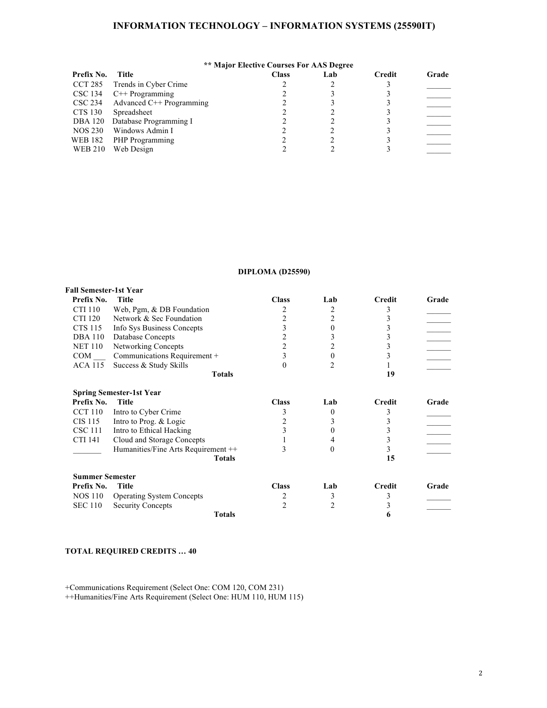## **INFORMATION TECHNOLOGY – INFORMATION SYSTEMS (25590IT)**

|                | <b>** Major Elective Courses For AAS Degree</b> |              |     |        |       |  |
|----------------|-------------------------------------------------|--------------|-----|--------|-------|--|
| Prefix No.     | Title                                           | <b>Class</b> | Lab | Credit | Grade |  |
| CCT 285        | Trends in Cyber Crime                           |              |     |        |       |  |
| CSC 134        | $C++$ Programming                               |              |     |        |       |  |
|                | $\text{CSC } 234$ Advanced C++ Programming      |              |     |        |       |  |
| <b>CTS 130</b> | Spreadsheet                                     |              |     |        |       |  |
|                | DBA 120 Database Programming I                  |              |     |        |       |  |
| <b>NOS 230</b> | Windows Admin I                                 |              |     |        |       |  |
|                | WEB 182 PHP Programming                         |              |     |        |       |  |
| <b>WEB 210</b> | Web Design                                      |              |     |        |       |  |

## **DIPLOMA (D25590)**

| <b>Fall Semester-1st Year</b> |                                     |                  |          |               |       |
|-------------------------------|-------------------------------------|------------------|----------|---------------|-------|
| Prefix No.                    | Title                               | <b>Class</b>     | Lab      | Credit        | Grade |
| CTI 110                       | Web, Pgm, & DB Foundation           | 2                | 2        | 3             |       |
| <b>CTI 120</b>                | Network & Sec Foundation            | $\overline{2}$   | 2        | 3             |       |
| <b>CTS 115</b>                | Info Sys Business Concepts          | 3                |          | 3             |       |
| <b>DBA</b> 110                | Database Concepts                   | $\overline{2}$   |          | 3             |       |
| NET 110                       | Networking Concepts                 | $\overline{2}$   | 2        | 3             |       |
| <b>COM</b>                    | Communications Requirement +        | 3                | $\Omega$ | 3             |       |
| ACA 115                       | Success & Study Skills              | $\boldsymbol{0}$ |          |               |       |
|                               | <b>Totals</b>                       |                  |          | 19            |       |
|                               | <b>Spring Semester-1st Year</b>     |                  |          |               |       |
| Prefix No.                    | <b>Title</b>                        | <b>Class</b>     | Lab      | <b>Credit</b> | Grade |
| <b>CCT 110</b>                | Intro to Cyber Crime                | 3                | $\theta$ | 3             |       |
| CIS 115                       | Intro to Prog. & Logic              | 2                |          | 3             |       |
| <b>CSC 111</b>                | Intro to Ethical Hacking            | 3                |          | 3             |       |
| CTI 141                       | Cloud and Storage Concepts          |                  |          | 3             |       |
|                               | Humanities/Fine Arts Requirement ++ | 3                | $_{0}$   | 3             |       |
|                               | <b>Totals</b>                       |                  |          | 15            |       |
| <b>Summer Semester</b>        |                                     |                  |          |               |       |
| Prefix No.                    | Title                               | <b>Class</b>     | Lab      | Credit        | Grade |
| NOS 110                       | <b>Operating System Concepts</b>    | 2                | 3        | 3             |       |
| <b>SEC 110</b>                | <b>Security Concepts</b>            | $\overline{2}$   | 2        | 3             |       |
|                               | <b>Totals</b>                       |                  |          | 6             |       |

## **TOTAL REQUIRED CREDITS … 40**

+Communications Requirement (Select One: COM 120, COM 231)

++Humanities/Fine Arts Requirement (Select One: HUM 110, HUM 115)